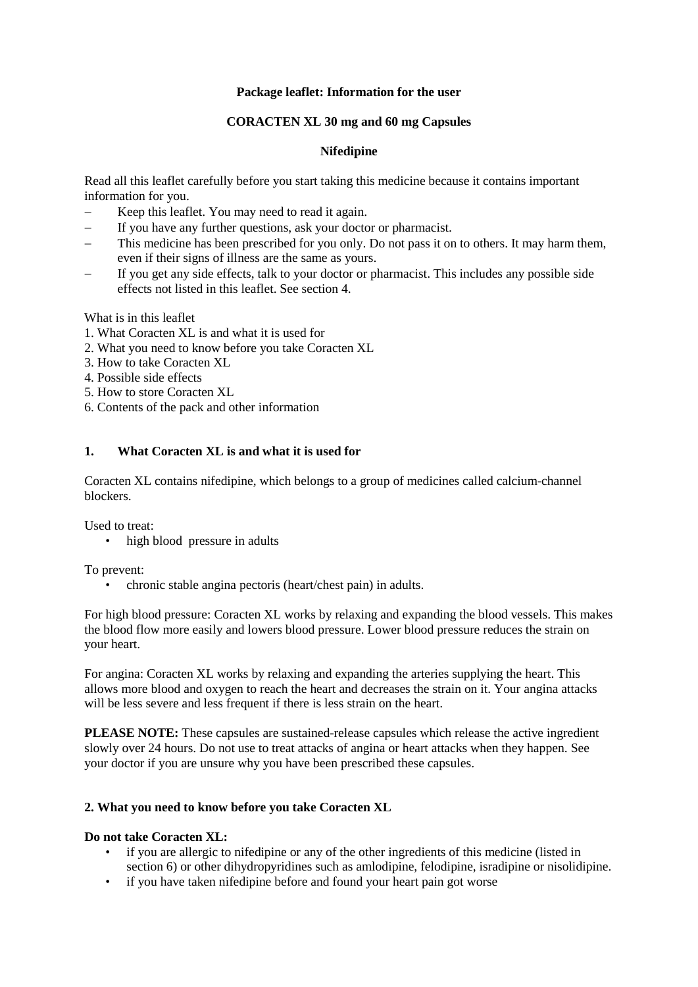# **Package leaflet: Information for the user**

# **CORACTEN XL 30 mg and 60 mg Capsules**

# **Nifedipine**

Read all this leaflet carefully before you start taking this medicine because it contains important information for you.

- − Keep this leaflet. You may need to read it again.
- − If you have any further questions, ask your doctor or pharmacist.
- This medicine has been prescribed for you only. Do not pass it on to others. It may harm them, even if their signs of illness are the same as yours.
- If you get any side effects, talk to your doctor or pharmacist. This includes any possible side effects not listed in this leaflet. See section 4.

What is in this leaflet

- 1. What Coracten XL is and what it is used for
- 2. What you need to know before you take Coracten XL
- 3. How to take Coracten XL
- 4. Possible side effects
- 5. How to store Coracten XL
- 6. Contents of the pack and other information

# **1. What Coracten XL is and what it is used for**

Coracten XL contains nifedipine, which belongs to a group of medicines called calcium-channel blockers.

Used to treat:

• high blood pressure in adults

To prevent:

• chronic stable angina pectoris (heart/chest pain) in adults.

For high blood pressure: Coracten XL works by relaxing and expanding the blood vessels. This makes the blood flow more easily and lowers blood pressure. Lower blood pressure reduces the strain on your heart.

For angina: Coracten XL works by relaxing and expanding the arteries supplying the heart. This allows more blood and oxygen to reach the heart and decreases the strain on it. Your angina attacks will be less severe and less frequent if there is less strain on the heart.

**PLEASE NOTE:** These capsules are sustained-release capsules which release the active ingredient slowly over 24 hours. Do not use to treat attacks of angina or heart attacks when they happen. See your doctor if you are unsure why you have been prescribed these capsules.

## **2. What you need to know before you take Coracten XL**

## **Do not take Coracten XL:**

- if you are allergic to nifedipine or any of the other ingredients of this medicine (listed in section 6) or other dihydropyridines such as amlodipine, felodipine, isradipine or nisolidipine.
- if you have taken nifedipine before and found your heart pain got worse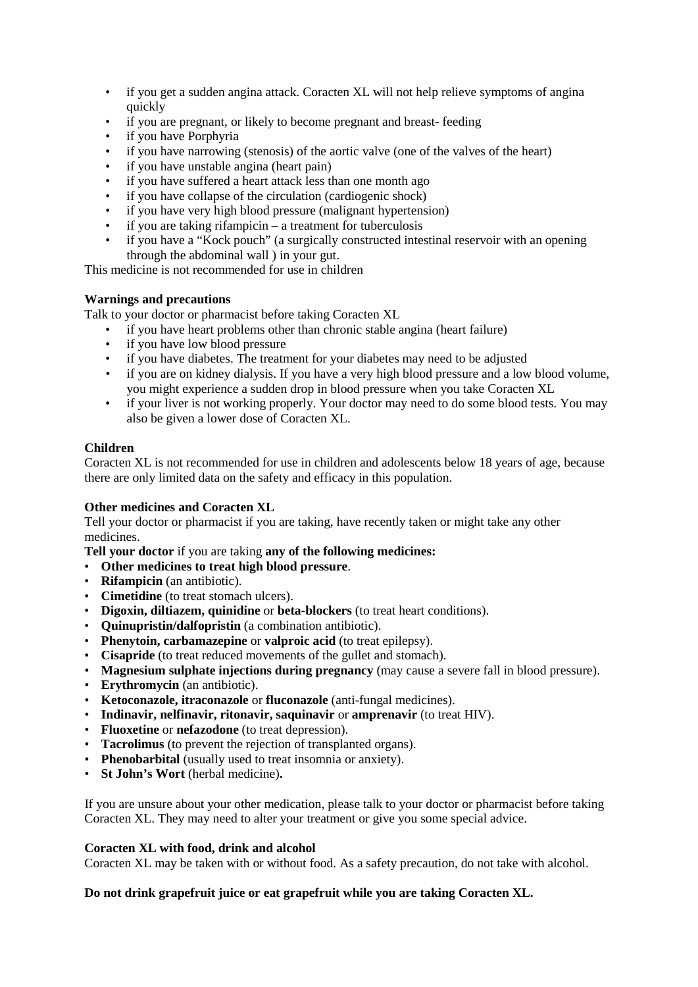- if you get a sudden angina attack. Coracten XL will not help relieve symptoms of angina quickly
- if you are pregnant, or likely to become pregnant and breast-feeding
- if you have Porphyria
- if you have narrowing (stenosis) of the aortic valve (one of the valves of the heart)
- if you have unstable angina (heart pain)
- if you have suffered a heart attack less than one month ago
- if you have collapse of the circulation (cardiogenic shock)
- if you have very high blood pressure (malignant hypertension)
- if you are taking rifampicin a treatment for tuberculosis
- if you have a "Kock pouch" (a surgically constructed intestinal reservoir with an opening through the abdominal wall ) in your gut.

This medicine is not recommended for use in children

# **Warnings and precautions**

Talk to your doctor or pharmacist before taking Coracten XL

- if you have heart problems other than chronic stable angina (heart failure)
- if you have low blood pressure
- if you have diabetes. The treatment for your diabetes may need to be adjusted
- if you are on kidney dialysis. If you have a very high blood pressure and a low blood volume, you might experience a sudden drop in blood pressure when you take Coracten XL
- if your liver is not working properly. Your doctor may need to do some blood tests. You may also be given a lower dose of Coracten XL.

# **Children**

Coracten XL is not recommended for use in children and adolescents below 18 years of age, because there are only limited data on the safety and efficacy in this population.

## **Other medicines and Coracten XL**

Tell your doctor or pharmacist if you are taking, have recently taken or might take any other medicines.

**Tell your doctor** if you are taking **any of the following medicines:**

- **Other medicines to treat high blood pressure**.
- **Rifampicin** (an antibiotic).
- **Cimetidine** (to treat stomach ulcers).
- **Digoxin, diltiazem, quinidine** or **beta-blockers** (to treat heart conditions).
- **Quinupristin/dalfopristin** (a combination antibiotic).
- **Phenytoin, carbamazepine** or **valproic acid** (to treat epilepsy).
- **Cisapride** (to treat reduced movements of the gullet and stomach).
- **Magnesium sulphate injections during pregnancy** (may cause a severe fall in blood pressure).
- **Erythromycin** (an antibiotic).
- **Ketoconazole, itraconazole** or **fluconazole** (anti-fungal medicines).
- **Indinavir, nelfinavir, ritonavir, saquinavir** or **amprenavir** (to treat HIV).
- **Fluoxetine** or **nefazodone** (to treat depression).
- **Tacrolimus** (to prevent the rejection of transplanted organs).
- **Phenobarbital** (usually used to treat insomnia or anxiety).
- **St John's Wort** (herbal medicine)**.**

If you are unsure about your other medication, please talk to your doctor or pharmacist before taking Coracten XL. They may need to alter your treatment or give you some special advice.

## **Coracten XL with food, drink and alcohol**

Coracten XL may be taken with or without food. As a safety precaution, do not take with alcohol.

## **Do not drink grapefruit juice or eat grapefruit while you are taking Coracten XL.**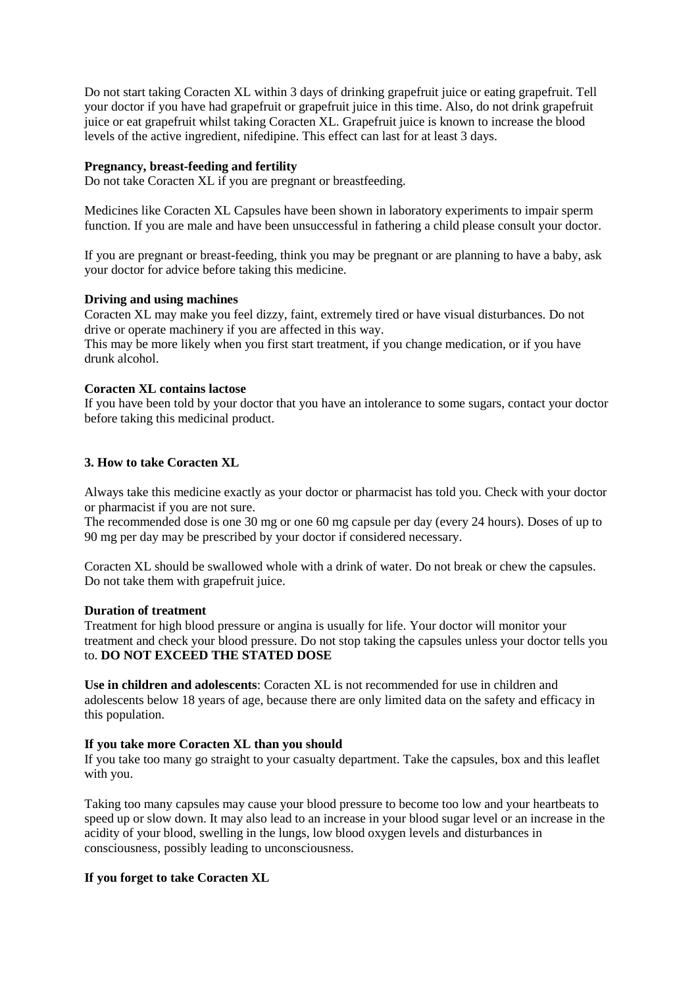Do not start taking Coracten XL within 3 days of drinking grapefruit juice or eating grapefruit. Tell your doctor if you have had grapefruit or grapefruit juice in this time. Also, do not drink grapefruit juice or eat grapefruit whilst taking Coracten XL. Grapefruit juice is known to increase the blood levels of the active ingredient, nifedipine. This effect can last for at least 3 days.

## **Pregnancy, breast-feeding and fertility**

Do not take Coracten XL if you are pregnant or breastfeeding.

Medicines like Coracten XL Capsules have been shown in laboratory experiments to impair sperm function. If you are male and have been unsuccessful in fathering a child please consult your doctor.

If you are pregnant or breast-feeding, think you may be pregnant or are planning to have a baby, ask your doctor for advice before taking this medicine.

#### **Driving and using machines**

Coracten XL may make you feel dizzy, faint, extremely tired or have visual disturbances. Do not drive or operate machinery if you are affected in this way.

This may be more likely when you first start treatment, if you change medication, or if you have drunk alcohol.

#### **Coracten XL contains lactose**

If you have been told by your doctor that you have an intolerance to some sugars, contact your doctor before taking this medicinal product.

## **3. How to take Coracten XL**

Always take this medicine exactly as your doctor or pharmacist has told you. Check with your doctor or pharmacist if you are not sure.

The recommended dose is one 30 mg or one 60 mg capsule per day (every 24 hours). Doses of up to 90 mg per day may be prescribed by your doctor if considered necessary.

Coracten XL should be swallowed whole with a drink of water. Do not break or chew the capsules. Do not take them with grapefruit juice.

#### **Duration of treatment**

Treatment for high blood pressure or angina is usually for life. Your doctor will monitor your treatment and check your blood pressure. Do not stop taking the capsules unless your doctor tells you to. **DO NOT EXCEED THE STATED DOSE**

**Use in children and adolescents**: Coracten XL is not recommended for use in children and adolescents below 18 years of age, because there are only limited data on the safety and efficacy in this population.

#### **If you take more Coracten XL than you should**

If you take too many go straight to your casualty department. Take the capsules, box and this leaflet with you.

Taking too many capsules may cause your blood pressure to become too low and your heartbeats to speed up or slow down. It may also lead to an increase in your blood sugar level or an increase in the acidity of your blood, swelling in the lungs, low blood oxygen levels and disturbances in consciousness, possibly leading to unconsciousness.

## **If you forget to take Coracten XL**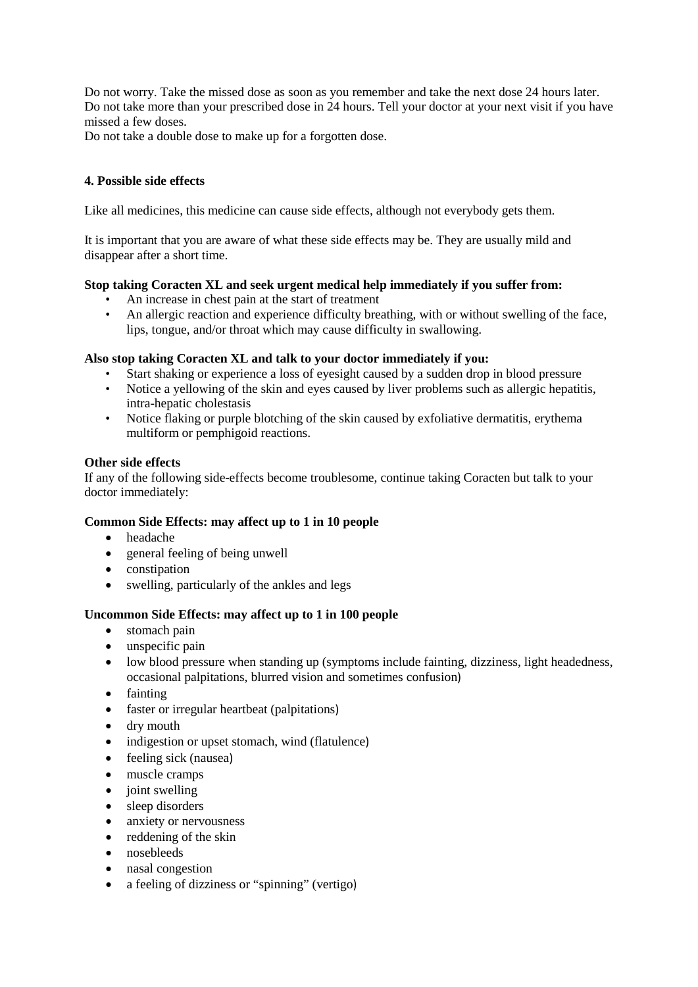Do not worry. Take the missed dose as soon as you remember and take the next dose 24 hours later. Do not take more than your prescribed dose in 24 hours. Tell your doctor at your next visit if you have missed a few doses.

Do not take a double dose to make up for a forgotten dose.

# **4. Possible side effects**

Like all medicines, this medicine can cause side effects, although not everybody gets them.

It is important that you are aware of what these side effects may be. They are usually mild and disappear after a short time.

## **Stop taking Coracten XL and seek urgent medical help immediately if you suffer from:**

- An increase in chest pain at the start of treatment
- An allergic reaction and experience difficulty breathing, with or without swelling of the face, lips, tongue, and/or throat which may cause difficulty in swallowing.

# **Also stop taking Coracten XL and talk to your doctor immediately if you:**

- Start shaking or experience a loss of eyesight caused by a sudden drop in blood pressure
- Notice a yellowing of the skin and eyes caused by liver problems such as allergic hepatitis, intra-hepatic cholestasis
- Notice flaking or purple blotching of the skin caused by exfoliative dermatitis, erythema multiform or pemphigoid reactions.

# **Other side effects**

If any of the following side-effects become troublesome, continue taking Coracten but talk to your doctor immediately:

# **Common Side Effects: may affect up to 1 in 10 people**

- headache
- general feeling of being unwell
- constipation
- swelling, particularly of the ankles and legs

# **Uncommon Side Effects: may affect up to 1 in 100 people**

- stomach pain
- unspecific pain
- low blood pressure when standing up (symptoms include fainting, dizziness, light headedness, occasional palpitations, blurred vision and sometimes confusion)
- fainting
- faster or irregular heartbeat (palpitations)
- dry mouth
- indigestion or upset stomach, wind (flatulence)
- feeling sick (nausea)
- muscle cramps
- joint swelling
- sleep disorders
- anxiety or nervousness
- reddening of the skin
- nosebleeds
- nasal congestion
- a feeling of dizziness or "spinning" (vertigo)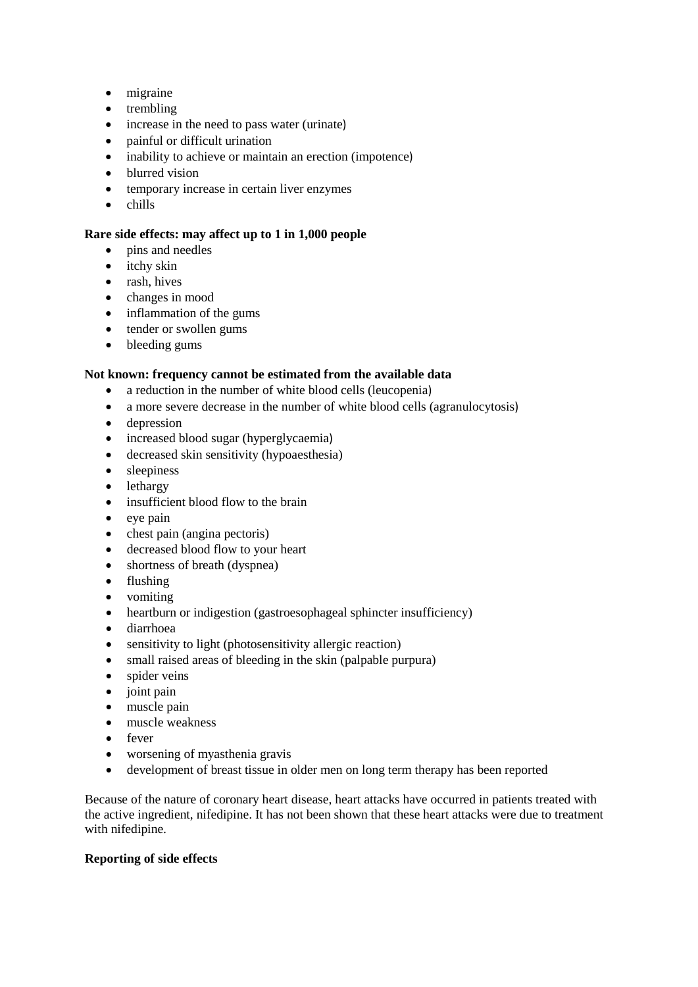- migraine
- trembling
- increase in the need to pass water (urinate)
- painful or difficult urination
- inability to achieve or maintain an erection (impotence)
- blurred vision
- temporary increase in certain liver enzymes
- chills

# **Rare side effects: may affect up to 1 in 1,000 people**

- pins and needles
- itchy skin
- rash, hives
- changes in mood
- inflammation of the gums
- tender or swollen gums
- bleeding gums

# **Not known: frequency cannot be estimated from the available data**

- a reduction in the number of white blood cells (leucopenia)
- a more severe decrease in the number of white blood cells (agranulocytosis)
- depression
- increased blood sugar (hyperglycaemia)
- decreased skin sensitivity (hypoaesthesia)
- sleepiness
- lethargy
- insufficient blood flow to the brain
- eye pain
- chest pain (angina pectoris)
- decreased blood flow to your heart
- shortness of breath (dyspnea)
- flushing
- vomiting
- heartburn or indigestion (gastroesophageal sphincter insufficiency)
- diarrhoea
- sensitivity to light (photosensitivity allergic reaction)
- small raised areas of bleeding in the skin (palpable purpura)
- spider veins
- joint pain
- muscle pain
- muscle weakness
- fever
- worsening of myasthenia gravis
- development of breast tissue in older men on long term therapy has been reported

Because of the nature of coronary heart disease, heart attacks have occurred in patients treated with the active ingredient, nifedipine. It has not been shown that these heart attacks were due to treatment with nifedipine.

## **Reporting of side effects**